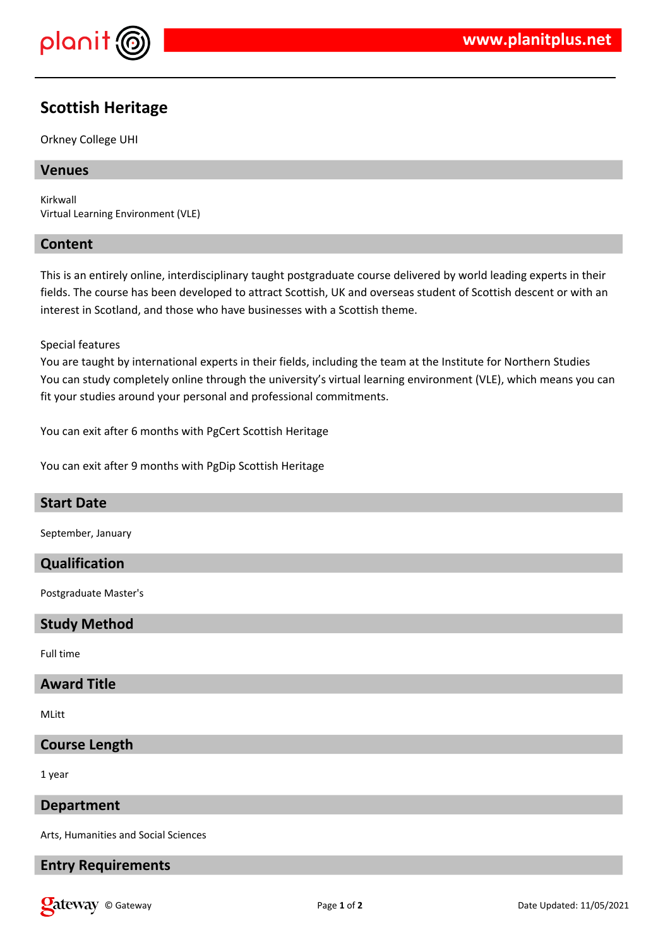

# **Scottish Heritage**

Orkney College UHI

# **Venues**

Kirkwall Virtual Learning Environment (VLE)

# **Content**

This is an entirely online, interdisciplinary taught postgraduate course delivered by world leading experts in their fields. The course has been developed to attract Scottish, UK and overseas student of Scottish descent or with an interest in Scotland, and those who have businesses with a Scottish theme.

#### Special features

You are taught by international experts in their fields, including the team at the Institute for Northern Studies You can study completely online through the university's virtual learning environment (VLE), which means you can fit your studies around your personal and professional commitments.

You can exit after 6 months with PgCert Scottish Heritage

You can exit after 9 months with PgDip Scottish Heritage

# **Start Date**

September, January

# **Qualification**

Postgraduate Master's

# **Study Method**

Full time

# **Award Title**

MLitt

#### **Course Length**

1 year

#### **Department**

Arts, Humanities and Social Sciences

#### **Entry Requirements**

**Callet Way** © Gateway **Page 1** of 2 Date Updated: 11/05/2021